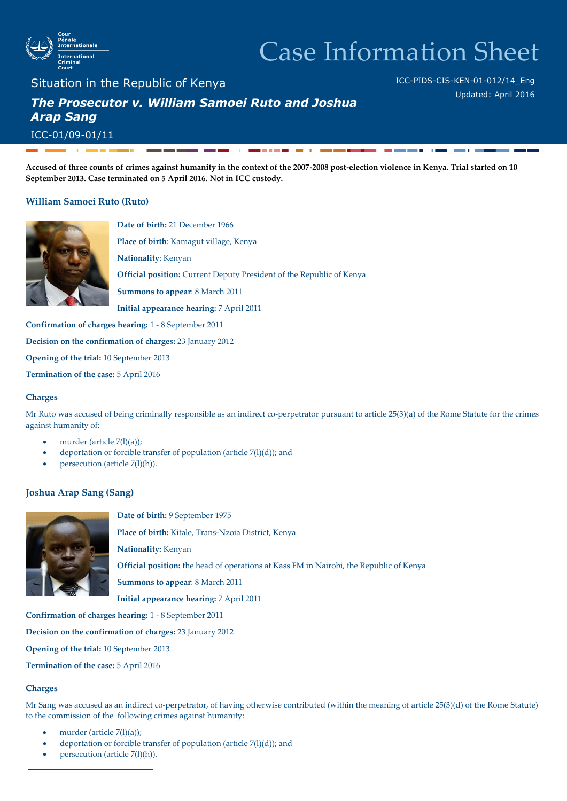

# Case Information Sheet

ICC-PIDS-CIS-KEN-01-012/14\_Eng

Updated: April 2016

Situation in the Republic of Kenya

## *The Prosecutor v. William Samoei Ruto and Joshua Arap Sang*

ICC-01/09-01/11

**Accused of three counts of crimes against humanity in the context of the 2007-2008 post-election violence in Kenya. Trial started on 10 September 2013. Case terminated on 5 April 2016. Not in ICC custody.**

**CONTRACTOR** 

 $\mathbf{r}$ 

#### **William Samoei Ruto (Ruto)**



**Date of birth:** 21 December 1966 **Place of birth**: Kamagut village, Kenya

**Nationality**: Kenyan

**Official position:** Current Deputy President of the Republic of Kenya

**Summons to appear**: 8 March 2011

**Initial appearance hearing:** 7 April 2011

**Confirmation of charges hearing:** 1 - 8 September 2011

**Decision on the confirmation of charges:** 23 January 2012

**Opening of the trial:** 10 September 2013

**Termination of the case:** 5 April 2016

#### **Charges**

Mr Ruto was accused of being criminally responsible as an indirect co-perpetrator pursuant to article 25(3)(a) of the Rome Statute for the crimes against humanity of:

- murder (article 7(l)(a));
- deportation or forcible transfer of population (article 7(l)(d)); and
- persecution (article 7(l)(h)).

#### **Joshua Arap Sang (Sang)**



**Date of birth:** 9 September 1975

**Place of birth:** Kitale, Trans-Nzoia District, Kenya

**Nationality:** Kenyan

**Official position:** the head of operations at Kass FM in Nairobi, the Republic of Kenya

**Summons to appear**: 8 March 2011

**Initial appearance hearing:** 7 April 2011

**Confirmation of charges hearing:** 1 - 8 September 2011

**Decision on the confirmation of charges:** 23 January 2012

**Opening of the trial:** 10 September 2013

**Termination of the case:** 5 April 2016

#### **Charges**

Mr Sang was accused as an indirect co-perpetrator, of having otherwise contributed (within the meaning of article 25(3)(d) of the Rome Statute) to the commission of the following crimes against humanity:

- murder (article 7(l)(a));
- deportation or forcible transfer of population (article 7(l)(d)); and
- persecution (article 7(l)(h)).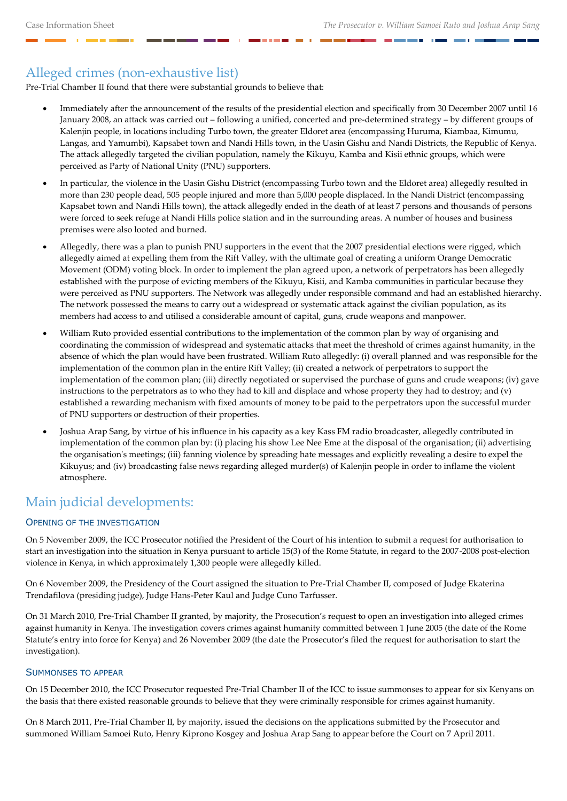## Alleged crimes (non-exhaustive list)

Pre-Trial Chamber II found that there were substantial grounds to believe that:

- Immediately after the announcement of the results of the presidential election and specifically from 30 December 2007 until 16 January 2008, an attack was carried out – following a unified, concerted and pre-determined strategy – by different groups of Kalenjin people, in locations including Turbo town, the greater Eldoret area (encompassing Huruma, Kiambaa, Kimumu, Langas, and Yamumbi), Kapsabet town and Nandi Hills town, in the Uasin Gishu and Nandi Districts, the Republic of Kenya. The attack allegedly targeted the civilian population, namely the Kikuyu, Kamba and Kisii ethnic groups, which were perceived as Party of National Unity (PNU) supporters.
- In particular, the violence in the Uasin Gishu District (encompassing Turbo town and the Eldoret area) allegedly resulted in more than 230 people dead, 505 people injured and more than 5,000 people displaced. In the Nandi District (encompassing Kapsabet town and Nandi Hills town), the attack allegedly ended in the death of at least 7 persons and thousands of persons were forced to seek refuge at Nandi Hills police station and in the surrounding areas. A number of houses and business premises were also looted and burned.
- Allegedly, there was a plan to punish PNU supporters in the event that the 2007 presidential elections were rigged, which allegedly aimed at expelling them from the Rift Valley, with the ultimate goal of creating a uniform Orange Democratic Movement (ODM) voting block. In order to implement the plan agreed upon, a network of perpetrators has been allegedly established with the purpose of evicting members of the Kikuyu, Kisii, and Kamba communities in particular because they were perceived as PNU supporters. The Network was allegedly under responsible command and had an established hierarchy. The network possessed the means to carry out a widespread or systematic attack against the civilian population, as its members had access to and utilised a considerable amount of capital, guns, crude weapons and manpower.
- William Ruto provided essential contributions to the implementation of the common plan by way of organising and coordinating the commission of widespread and systematic attacks that meet the threshold of crimes against humanity, in the absence of which the plan would have been frustrated. William Ruto allegedly: (i) overall planned and was responsible for the implementation of the common plan in the entire Rift Valley; (ii) created a network of perpetrators to support the implementation of the common plan; (iii) directly negotiated or supervised the purchase of guns and crude weapons; (iv) gave instructions to the perpetrators as to who they had to kill and displace and whose property they had to destroy; and (v) established a rewarding mechanism with fixed amounts of money to be paid to the perpetrators upon the successful murder of PNU supporters or destruction of their properties.
- Joshua Arap Sang, by virtue of his influence in his capacity as a key Kass FM radio broadcaster, allegedly contributed in implementation of the common plan by: (i) placing his show Lee Nee Eme at the disposal of the organisation; (ii) advertising the organisation's meetings; (iii) fanning violence by spreading hate messages and explicitly revealing a desire to expel the Kikuyus; and (iv) broadcasting false news regarding alleged murder(s) of Kalenjin people in order to inflame the violent atmosphere.

### Main judicial developments:

#### OPENING OF THE INVESTIGATION

On 5 November 2009, the ICC Prosecutor notified the President of the Court of his intention to submit a request for authorisation to start an investigation into the situation in Kenya pursuant to article 15(3) of the Rome Statute, in regard to the 2007-2008 post-election violence in Kenya, in which approximately 1,300 people were allegedly killed.

On 6 November 2009, the Presidency of the Court assigned the situation to Pre-Trial Chamber II, composed of Judge Ekaterina Trendafilova (presiding judge), Judge Hans-Peter Kaul and Judge Cuno Tarfusser.

On 31 March 2010, Pre-Trial Chamber II granted, by majority, the Prosecution's request to open an investigation into alleged crimes against humanity in Kenya. The investigation covers crimes against humanity committed between 1 June 2005 (the date of the Rome Statute's entry into force for Kenya) and 26 November 2009 (the date the Prosecutor's filed the request for authorisation to start the investigation).

#### SUMMONSES TO APPEAR

On 15 December 2010, the ICC Prosecutor requested Pre-Trial Chamber II of the ICC to issue summonses to appear for six Kenyans on the basis that there existed reasonable grounds to believe that they were criminally responsible for crimes against humanity.

On 8 March 2011, Pre-Trial Chamber II, by majority, issued the decisions on the applications submitted by the Prosecutor and summoned William Samoei Ruto, Henry Kiprono Kosgey and Joshua Arap Sang to appear before the Court on 7 April 2011.